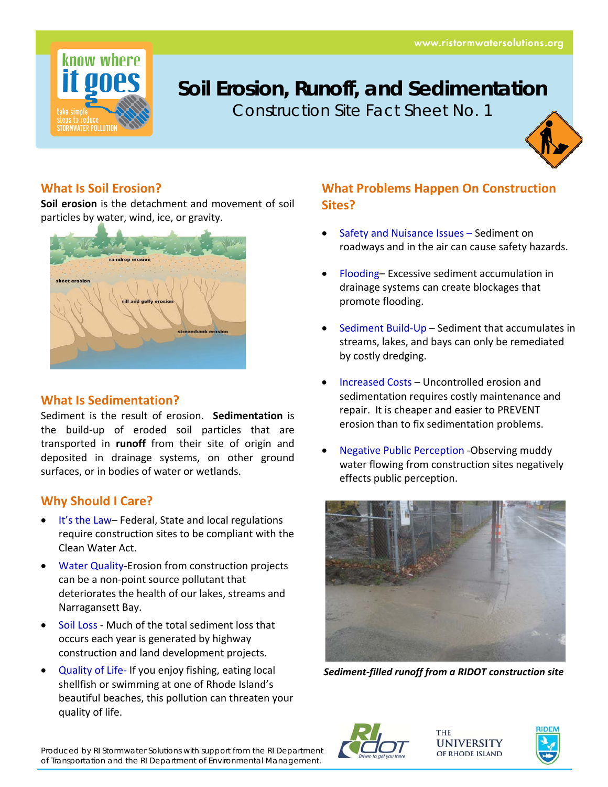

# **Soil Erosion, Runoff, and Sedimentation**

Construction Site Fact Sheet No. 1



## **What Is Soil Erosion?**

**Soil erosion** is the detachment and movement of soil particles by water, wind, ice, or gravity.



### **What Is Sedimentation?**

Sediment is the result of erosion. **Sedimentation** is the build‐up of eroded soil particles that are transported in **runoff** from their site of origin and deposited in drainage systems, on other ground surfaces, or in bodies of water or wetlands.

### **Why Should I Care?**

- It's the Law– Federal, State and local regulations require construction sites to be compliant with the Clean Water Act.
- Water Quality-Erosion from construction projects can be a non‐point source pollutant that deteriorates the health of our lakes, streams and Narragansett Bay.
- Soil Loss ‐ Much of the total sediment loss that occurs each year is generated by highway construction and land development projects.
- Quality of Life‐ If you enjoy fishing, eating local shellfish or swimming at one of Rhode Island's beautiful beaches, this pollution can threaten your quality of life.

### **What Problems Happen On Construction Sites?**

- Safety and Nuisance Issues Sediment on roadways and in the air can cause safety hazards.
- Flooding– Excessive sediment accumulation in drainage systems can create blockages that promote flooding.
- Sediment Build‐Up Sediment that accumulates in streams, lakes, and bays can only be remediated by costly dredging.
- Increased Costs Uncontrolled erosion and sedimentation requires costly maintenance and repair. It is cheaper and easier to PREVENT erosion than to fix sedimentation problems.
- Negative Public Perception ‐Observing muddy water flowing from construction sites negatively effects public perception.



*Sediment‐filled runoff from a RIDOT construction site*